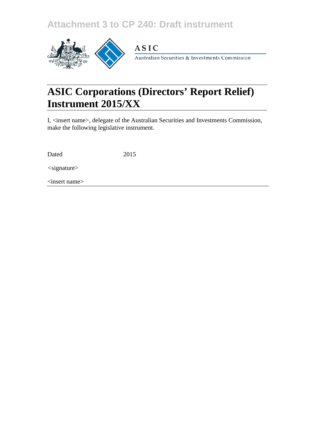## **Attachment 3 to CP 240: Draft instrument**



### **ASIC**

Australian Securities & Investments Commission

# **ASIC Corporations (Directors' Report Relief) Instrument 2015/XX**

I, <insert name>, delegate of the Australian Securities and Investments Commission, make the following legislative instrument.

Dated 2015

*<*signature>

<insert name>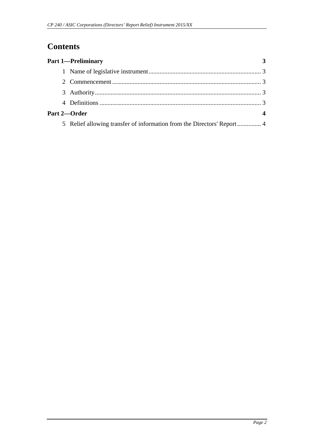## **Contents**

| <b>Part 1-Preliminary</b>                                               |  |
|-------------------------------------------------------------------------|--|
|                                                                         |  |
|                                                                         |  |
|                                                                         |  |
|                                                                         |  |
| Part 2-Order                                                            |  |
| 5 Relief allowing transfer of information from the Directors' Report  4 |  |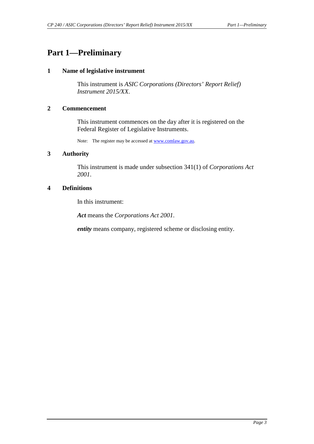### <span id="page-2-1"></span><span id="page-2-0"></span>**Part 1—Preliminary**

#### **1 Name of legislative instrument**

This instrument is *ASIC Corporations (Directors' Report Relief) Instrument 2015/XX*.

#### <span id="page-2-2"></span>**2 Commencement**

This instrument commences on the day after it is registered on the Federal Register of Legislative Instruments.

Note: The register may be accessed at www.comlaw.gov.au.

#### <span id="page-2-3"></span>**3 Authority**

This instrument is made under subsection 341(1) of *Corporations Act 2001*.

#### <span id="page-2-4"></span>**4 Definitions**

In this instrument:

*Act* means the *Corporations Act 2001*.

*entity* means company, registered scheme or disclosing entity.